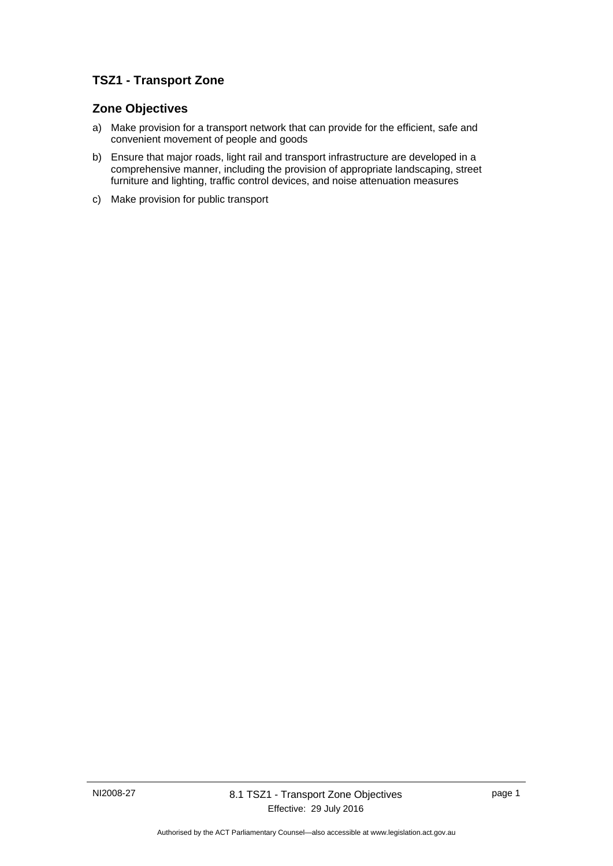# **TSZ1 - Transport Zone**

# **Zone Objectives**

- a) Make provision for a transport network that can provide for the efficient, safe and convenient movement of people and goods
- b) Ensure that major roads, light rail and transport infrastructure are developed in a comprehensive manner, including the provision of appropriate landscaping, street furniture and lighting, traffic control devices, and noise attenuation measures
- c) Make provision for public transport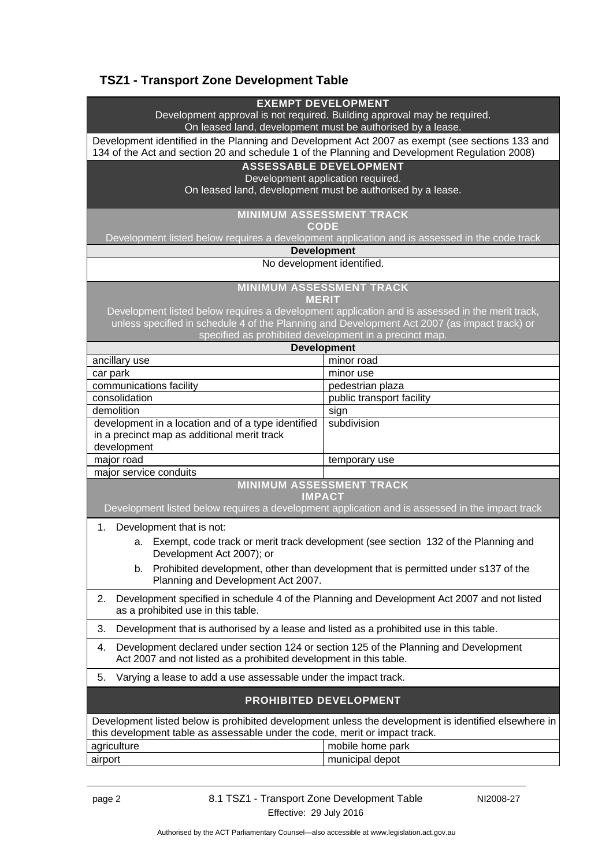# **TSZ1 - Transport Zone Development Table**

### **EXEMPT DEVELOPMENT**

Development approval is not required. Building approval may be required. On leased land, development must be authorised by a lease.

Development identified in the Planning and Development Act 2007 as exempt (see sections 133 and 134 of the Act and section 20 and schedule 1 of the Planning and Development Regulation 2008)

## **ASSESSABLE DEVELOPMENT**

Development application required.

On leased land, development must be authorised by a lease.

#### **MINIMUM ASSESSMENT TRACK**

**CODE** 

Development listed below requires a development application and is assessed in the code track

#### **Development**

#### No development identified.

**MINIMUM ASSESSMENT TRACK MERIT** 

Development listed below requires a development application and is assessed in the merit track, unless specified in schedule 4 of the Planning and Development Act 2007 (as impact track) or specified as prohibited development in a precinct map.

| opoolitod ao profilolog ao roiophioni, in a proolito, mapi |                           |
|------------------------------------------------------------|---------------------------|
| <b>Development</b>                                         |                           |
| ancillary use                                              | minor road                |
| car park                                                   | minor use                 |
| communications facility                                    | pedestrian plaza          |
| consolidation                                              | public transport facility |
| demolition                                                 | sign                      |
| development in a location and of a type identified         | subdivision               |
| in a precinct map as additional merit track                |                           |
| development                                                |                           |
| major road                                                 | temporary use             |
| major service conduits                                     |                           |

**MINIMUM ASSESSMENT TRACK** 

**IMPACT** 

Development listed below requires a development application and is assessed in the impact track

- 1. Development that is not:
	- a. Exempt, code track or merit track development (see section 132 of the Planning and Development Act 2007); or
	- b. Prohibited development, other than development that is permitted under s137 of the Planning and Development Act 2007.
- 2. Development specified in schedule 4 of the Planning and Development Act 2007 and not listed as a prohibited use in this table.
- 3. Development that is authorised by a lease and listed as a prohibited use in this table.
- 4. Development declared under section 124 or section 125 of the Planning and Development Act 2007 and not listed as a prohibited development in this table.
- 5. Varying a lease to add a use assessable under the impact track.

### **PROHIBITED DEVELOPMENT**

| Development listed below is prohibited development unless the development is identified elsewhere in |                  |  |
|------------------------------------------------------------------------------------------------------|------------------|--|
| this development table as assessable under the code, merit or impact track.                          |                  |  |
| agriculture                                                                                          | mobile home park |  |
| airport                                                                                              | municipal depot  |  |